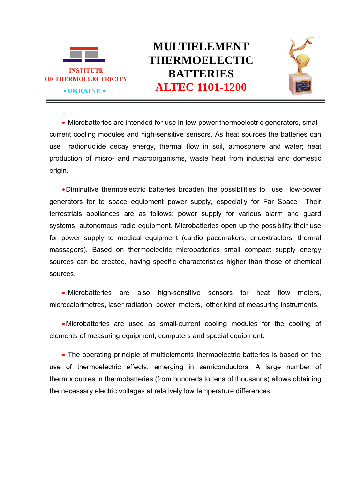



 Microbatteries are intended for use in low-power thermoelectric generators, smallcurrent cooling modules and high-sensitive sensors. As heat sources the batteries can use radionuclide decay energy, thermal flow in soil, atmosphere and water; heat production of micro- and macroorganisms, waste heat from industrial and domestic origin.

Diminutive thermoelectric batteries broaden the possibilities to use low-power generators for to space equipment power supply, especially for Far Space Their terrestrials appliances are as follows: power supply for various alarm and guard systems, autonomous radio equipment. Microbatteries open up the possibility their use for power supply to medical equipment (cardio pacemakers, crioextractors, thermal massagers). Based on thermoelectric microbatteries small compact supply energy sources can be created, having specific characteristics higher than those of chemical sources.

• Microbatteries are also high-sensitive sensors for heat flow meters, microcalorimetres, laser radiation power meters, other kind of measuring instruments.

Microbatteries are used as small-current cooling modules for the cooling of elements of measuring equipment, computers and special equipment.

 The operating principle of multielements thermoelectric batteries is based on the use of thermoelectric effects, emerging in semiconductors. A large number of thermocouples in thermobatteries (from hundreds to tens of thousands) allows obtaining the necessary electric voltages at relatively low temperature differences.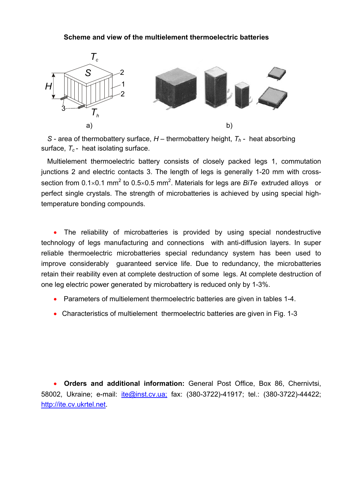## **Scheme and view of the multielement thermoelectric batteries**



*S* - area of thermobattery surface,  $H$  – thermobattery height,  $T_h$  - heat absorbing surface,  $T_c$ - heat isolating surface.

Multielement thermoelectric battery consists of closely packed legs 1, commutation junctions 2 and electric contacts 3. The length of legs is generally 1-20 mm with crosssection from  $0.1 \times 0.1$  mm<sup>2</sup> to  $0.5 \times 0.5$  mm<sup>2</sup>. Materials for legs are *BiTe* extruded alloys or perfect single crystals. The strength of microbatteries is achieved by using special hightemperature bonding compounds.

 The reliability of microbatteries is provided by using special nondestructive technology of legs manufacturing and connections with anti-diffusion layers. In super reliable thermoelectric microbatteries special redundancy system has been used to improve considerably guaranteed service life. Due to redundancy, the microbatteries retain their reability even at complete destruction of some legs. At complete destruction of one leg electric power generated by microbattery is reduced only by 1-3%.

- Parameters of multielement thermoelectric batteries are given in tables 1-4.
- Characteristics of multielement thermoelectric batteries are given in Fig. 1-3

 **Orders and additional information:** General Post Office, Box 86, Chernivtsi, 58002, Ukraine; e-mail: ite@inst.cv.ua; fax: (380-3722)-41917; tel.: (380-3722)-44422; http://ite.cv.ukrtel.net.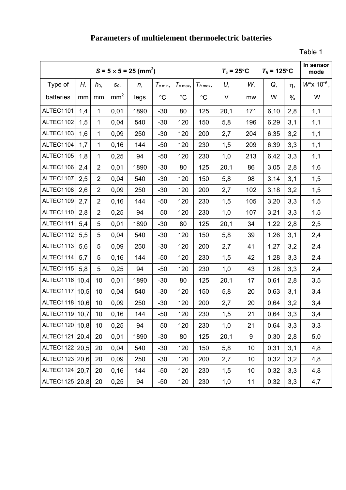## **Parameters of multielement thermoelectric batteries**

Table 1

|                  |      |                | $S = 5 \times 5 = 25$ (mm <sup>2</sup> ) | $T_c = 25^{\circ}$ C<br>$T_h$ = 125°C |                 |                 | In sensor<br>mode |      |     |       |          |                            |
|------------------|------|----------------|------------------------------------------|---------------------------------------|-----------------|-----------------|-------------------|------|-----|-------|----------|----------------------------|
| Type of          | Η,   | $h_0$ ,        | $S_0$                                    | n,                                    | $T_{c \min}$    | $T_{c \max}$    | $T_{h \max}$      | U,   | W,  | Q,    | $\eta$ , | $W^*$ x 10 <sup>-9</sup> , |
| batteries        | mm   | mm             | mm <sup>2</sup>                          | legs                                  | $\rm ^{\circ}C$ | $\rm ^{\circ}C$ | $\rm ^{\circ}C$   | V    | mw  | W     | $\%$     | W                          |
| ALTEC1101        | 1,4  | $\mathbf{1}$   | 0,01                                     | 1890                                  | $-30$           | 80              | 125               | 20,1 | 171 | 6, 10 | 2,8      | 1,1                        |
| ALTEC1102        | 1,5  | $\mathbf{1}$   | 0,04                                     | 540                                   | $-30$           | 120             | 150               | 5,8  | 196 | 6,29  | 3,1      | 1,1                        |
| ALTEC1103        | 1,6  | $\mathbf{1}$   | 0,09                                     | 250                                   | $-30$           | 120             | 200               | 2,7  | 204 | 6,35  | 3,2      | 1,1                        |
| ALTEC1104        | 1,7  | 1              | 0, 16                                    | 144                                   | $-50$           | 120             | 230               | 1,5  | 209 | 6,39  | 3,3      | 1,1                        |
| ALTEC1105        | 1,8  | $\mathbf{1}$   | 0,25                                     | 94                                    | $-50$           | 120             | 230               | 1,0  | 213 | 6,42  | 3,3      | 1,1                        |
| ALTEC1106        | 2,4  | $\overline{2}$ | 0,01                                     | 1890                                  | $-30$           | 80              | 125               | 20,1 | 86  | 3,05  | 2,8      | 1,6                        |
| ALTEC1107        | 2,5  | $\overline{2}$ | 0,04                                     | 540                                   | $-30$           | 120             | 150               | 5,8  | 98  | 3,14  | 3,1      | 1,5                        |
| ALTEC1108        | 2,6  | $\overline{2}$ | 0,09                                     | 250                                   | $-30$           | 120             | 200               | 2,7  | 102 | 3,18  | 3,2      | 1,5                        |
| ALTEC1109        | 2,7  | $\overline{2}$ | 0, 16                                    | 144                                   | $-50$           | 120             | 230               | 1,5  | 105 | 3,20  | 3,3      | 1,5                        |
| ALTEC1110        | 2,8  | $\overline{2}$ | 0,25                                     | 94                                    | $-50$           | 120             | 230               | 1,0  | 107 | 3,21  | 3,3      | 1,5                        |
| ALTEC1111        | 5,4  | 5              | 0,01                                     | 1890                                  | $-30$           | 80              | 125               | 20,1 | 34  | 1,22  | 2,8      | 2,5                        |
| ALTEC1112        | 5,5  | 5              | 0,04                                     | 540                                   | $-30$           | 120             | 150               | 5,8  | 39  | 1,26  | 3,1      | 2,4                        |
| ALTEC1113        | 5,6  | 5              | 0,09                                     | 250                                   | $-30$           | 120             | 200               | 2,7  | 41  | 1,27  | 3,2      | 2,4                        |
| ALTEC1114        | 5,7  | 5              | 0, 16                                    | 144                                   | $-50$           | 120             | 230               | 1,5  | 42  | 1,28  | 3,3      | 2,4                        |
| ALTEC1115        | 5,8  | 5              | 0,25                                     | 94                                    | $-50$           | 120             | 230               | 1,0  | 43  | 1,28  | 3,3      | 2,4                        |
| ALTEC1116        | 10,4 | 10             | 0,01                                     | 1890                                  | $-30$           | 80              | 125               | 20,1 | 17  | 0,61  | 2,8      | 3,5                        |
| <b>ALTEC1117</b> | 10,5 | 10             | 0,04                                     | 540                                   | $-30$           | 120             | 150               | 5,8  | 20  | 0,63  | 3,1      | 3,4                        |
| ALTEC1118   10,6 |      | 10             | 0,09                                     | 250                                   | $-30$           | 120             | 200               | 2,7  | 20  | 0,64  | 3,2      | 3,4                        |
| ALTEC1119 10,7   |      | 10             | 0, 16                                    | 144                                   | $-50$           | 120             | 230               | 1,5  | 21  | 0,64  | 3,3      | 3,4                        |
| ALTEC1120   10,8 |      | 10             | 0,25                                     | 94                                    | $-50$           | 120             | 230               | 1,0  | 21  | 0,64  | 3,3      | 3,3                        |
| ALTEC1121 20,4   |      | 20             | 0,01                                     | 1890                                  | $-30$           | 80              | 125               | 20,1 | 9   | 0,30  | 2,8      | 5,0                        |
| ALTEC1122 20,5   |      | 20             | 0,04                                     | 540                                   | $-30$           | 120             | 150               | 5,8  | 10  | 0,31  | 3,1      | 4,8                        |
| ALTEC1123 20,6   |      | 20             | 0,09                                     | 250                                   | $-30$           | 120             | 200               | 2,7  | 10  | 0,32  | 3,2      | 4,8                        |
| ALTEC1124 20.7   |      | 20             | 0, 16                                    | 144                                   | $-50$           | 120             | 230               | 1,5  | 10  | 0,32  | 3,3      | 4,8                        |
| ALTEC1125 20,8   |      | 20             | 0,25                                     | 94                                    | $-50$           | 120             | 230               | 1,0  | 11  | 0,32  | 3,3      | 4,7                        |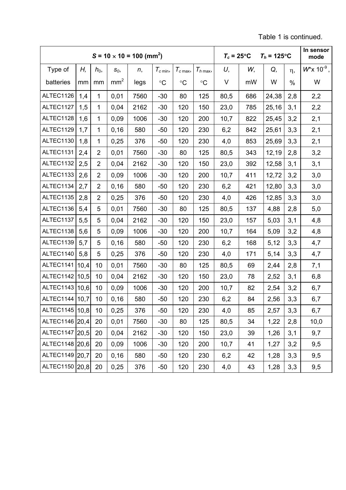Table 1 is continued.

|                  |      |                | $S = 10 \times 10 = 100$ (mm <sup>2</sup> ) | $T_c = 25^{\circ}$ C<br>$T_h$ = 125°C |              |                     |              | In sensor<br>mode |     |       |     |                            |
|------------------|------|----------------|---------------------------------------------|---------------------------------------|--------------|---------------------|--------------|-------------------|-----|-------|-----|----------------------------|
| Type of          | Н,   | $h_0$          | $S_0$                                       | n,                                    | $T_{c \min}$ | $T_{c \text{ max}}$ | $T_{h \max}$ | U,                | W,  | Q,    | η,  | $W^*$ x 10 <sup>-9</sup> , |
| batteries        | mm   | mm             | mm <sup>2</sup>                             | legs                                  | $\circ$ C    | $\rm ^{\circ}C$     | $\circ$ C    | $\vee$            | mW  | W     | %   | W                          |
| ALTEC1126        | 1,4  | $\mathbf{1}$   | 0,01                                        | 7560                                  | $-30$        | 80                  | 125          | 80,5              | 686 | 24,38 | 2,8 | 2,2                        |
| ALTEC1127        | 1,5  | $\mathbf{1}$   | 0,04                                        | 2162                                  | $-30$        | 120                 | 150          | 23,0              | 785 | 25,16 | 3,1 | 2,2                        |
| ALTEC1128        | 1,6  | $\mathbf{1}$   | 0,09                                        | 1006                                  | $-30$        | 120                 | 200          | 10,7              | 822 | 25,45 | 3,2 | 2,1                        |
| ALTEC1129        | 1,7  | 1              | 0,16                                        | 580                                   | $-50$        | 120                 | 230          | 6,2               | 842 | 25,61 | 3,3 | 2,1                        |
| ALTEC1130        | 1,8  | $\mathbf{1}$   | 0,25                                        | 376                                   | $-50$        | 120                 | 230          | 4,0               | 853 | 25,69 | 3,3 | 2,1                        |
| ALTEC1131        | 2,4  | $\overline{2}$ | 0,01                                        | 7560                                  | $-30$        | 80                  | 125          | 80,5              | 343 | 12,19 | 2,8 | 3,2                        |
| ALTEC1132        | 2,5  | $\overline{2}$ | 0,04                                        | 2162                                  | $-30$        | 120                 | 150          | 23,0              | 392 | 12,58 | 3,1 | 3,1                        |
| ALTEC1133        | 2,6  | $\overline{2}$ | 0,09                                        | 1006                                  | $-30$        | 120                 | 200          | 10,7              | 411 | 12,72 | 3,2 | 3,0                        |
| ALTEC1134        | 2,7  | $\overline{2}$ | 0,16                                        | 580                                   | $-50$        | 120                 | 230          | 6,2               | 421 | 12,80 | 3,3 | 3,0                        |
| ALTEC1135        | 2,8  | $\overline{2}$ | 0,25                                        | 376                                   | $-50$        | 120                 | 230          | 4,0               | 426 | 12,85 | 3,3 | 3,0                        |
| ALTEC1136        | 5,4  | 5              | 0,01                                        | 7560                                  | $-30$        | 80                  | 125          | 80,5              | 137 | 4,88  | 2,8 | 5,0                        |
| ALTEC1137        | 5,5  | 5              | 0,04                                        | 2162                                  | $-30$        | 120                 | 150          | 23,0              | 157 | 5,03  | 3,1 | 4,8                        |
| ALTEC1138        | 5,6  | 5              | 0,09                                        | 1006                                  | $-30$        | 120                 | 200          | 10,7              | 164 | 5,09  | 3,2 | 4,8                        |
| ALTEC1139        | 5,7  | 5              | 0, 16                                       | 580                                   | $-50$        | 120                 | 230          | 6,2               | 168 | 5,12  | 3,3 | 4,7                        |
| ALTEC1140        | 5,8  | 5              | 0,25                                        | 376                                   | $-50$        | 120                 | 230          | 4,0               | 171 | 5,14  | 3,3 | 4,7                        |
| ALTEC1141        | 10,4 | 10             | 0,01                                        | 7560                                  | $-30$        | 80                  | 125          | 80,5              | 69  | 2,44  | 2,8 | 7,1                        |
| ALTEC1142        | 10,5 | 10             | 0,04                                        | 2162                                  | $-30$        | 120                 | 150          | 23,0              | 78  | 2,52  | 3,1 | 6,8                        |
| ALTEC1143        | 10,6 | 10             | 0,09                                        | 1006                                  | $-30$        | 120                 | 200          | 10,7              | 82  | 2,54  | 3,2 | 6,7                        |
| ALTEC1144   10,7 |      | 10             | 0, 16                                       | 580                                   | $-50$        | 120                 | 230          | 6,2               | 84  | 2,56  | 3,3 | 6,7                        |
| ALTEC1145   10,8 |      | 10             | 0,25                                        | 376                                   | $-50$        | 120                 | 230          | 4,0               | 85  | 2,57  | 3,3 | 6,7                        |
| ALTEC1146 20,4   |      | 20             | 0,01                                        | 7560                                  | $-30$        | 80                  | 125          | 80,5              | 34  | 1,22  | 2,8 | 10,0                       |
| ALTEC1147 20,5   |      | 20             | 0,04                                        | 2162                                  | $-30$        | 120                 | 150          | 23,0              | 39  | 1,26  | 3,1 | 9,7                        |
| ALTEC1148 20.6   |      | 20             | 0,09                                        | 1006                                  | $-30$        | 120                 | 200          | 10,7              | 41  | 1,27  | 3,2 | 9,5                        |
| ALTEC1149 20.7   |      | 20             | 0, 16                                       | 580                                   | $-50$        | 120                 | 230          | 6,2               | 42  | 1,28  | 3,3 | 9,5                        |
| ALTEC1150 20,8   |      | 20             | 0,25                                        | 376                                   | $-50$        | 120                 | 230          | 4,0               | 43  | 1,28  | 3,3 | 9,5                        |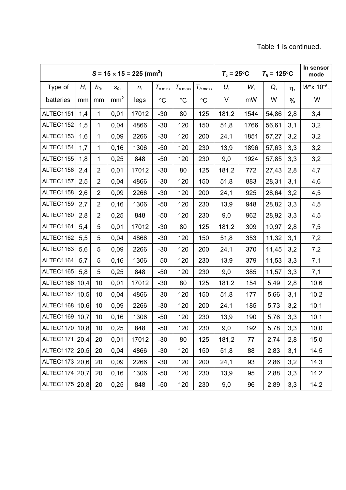|                  |      |                | $S = 15 \times 15 = 225$ (mm <sup>2</sup> ) | $T_c = 25^{\circ}$ C<br>$T_h$ = 125°C |                 |                 |                 | In sensor<br>mode |      |       |          |                            |
|------------------|------|----------------|---------------------------------------------|---------------------------------------|-----------------|-----------------|-----------------|-------------------|------|-------|----------|----------------------------|
| Type of          | Н,   | $h_0$          | $S_0$                                       | n,                                    | $T_{c \min}$    | $T_{c \max}$    | $T_{h \max}$    | U,                | W,   | Q,    | $\eta$ , | $W^*$ x 10 <sup>-9</sup> , |
| batteries        | mm   | mm             | mm <sup>2</sup>                             | legs                                  | $\rm ^{\circ}C$ | $\rm ^{\circ}C$ | $\rm ^{\circ}C$ | V                 | mW   | W     | $\%$     | W                          |
| ALTEC1151        | 1,4  | $\mathbf{1}$   | 0,01                                        | 17012                                 | $-30$           | 80              | 125             | 181,2             | 1544 | 54,86 | 2,8      | 3,4                        |
| ALTEC1152        | 1,5  | $\mathbf{1}$   | 0,04                                        | 4866                                  | $-30$           | 120             | 150             | 51,8              | 1766 | 56,61 | 3,1      | 3,2                        |
| ALTEC1153        | 1,6  | $\mathbf{1}$   | 0,09                                        | 2266                                  | $-30$           | 120             | 200             | 24,1              | 1851 | 57,27 | 3,2      | 3,2                        |
| ALTEC1154        | 1,7  | $\mathbf{1}$   | 0, 16                                       | 1306                                  | $-50$           | 120             | 230             | 13,9              | 1896 | 57,63 | 3,3      | 3,2                        |
| ALTEC1155        | 1,8  | $\mathbf{1}$   | 0,25                                        | 848                                   | $-50$           | 120             | 230             | 9,0               | 1924 | 57,85 | 3,3      | 3,2                        |
| ALTEC1156        | 2,4  | $\overline{2}$ | 0,01                                        | 17012                                 | $-30$           | 80              | 125             | 181,2             | 772  | 27,43 | 2,8      | 4,7                        |
| ALTEC1157        | 2,5  | $\overline{2}$ | 0,04                                        | 4866                                  | $-30$           | 120             | 150             | 51,8              | 883  | 28,31 | 3,1      | 4,6                        |
| ALTEC1158        | 2,6  | $\overline{2}$ | 0,09                                        | 2266                                  | $-30$           | 120             | 200             | 24,1              | 925  | 28,64 | 3,2      | 4,5                        |
| ALTEC1159        | 2,7  | $\overline{2}$ | 0,16                                        | 1306                                  | $-50$           | 120             | 230             | 13,9              | 948  | 28,82 | 3,3      | 4,5                        |
| ALTEC1160        | 2,8  | $\overline{2}$ | 0,25                                        | 848                                   | $-50$           | 120             | 230             | 9,0               | 962  | 28,92 | 3,3      | 4,5                        |
| ALTEC1161        | 5,4  | 5              | 0,01                                        | 17012                                 | $-30$           | 80              | 125             | 181,2             | 309  | 10,97 | 2,8      | 7,5                        |
| ALTEC1162        | 5,5  | 5              | 0,04                                        | 4866                                  | $-30$           | 120             | 150             | 51,8              | 353  | 11,32 | 3,1      | 7,2                        |
| ALTEC1163        | 5,6  | 5              | 0,09                                        | 2266                                  | $-30$           | 120             | 200             | 24,1              | 370  | 11,45 | 3,2      | 7,2                        |
| ALTEC1164        | 5,7  | 5              | 0, 16                                       | 1306                                  | $-50$           | 120             | 230             | 13,9              | 379  | 11,53 | 3,3      | 7,1                        |
| ALTEC1165        | 5,8  | 5              | 0,25                                        | 848                                   | $-50$           | 120             | 230             | 9,0               | 385  | 11,57 | 3,3      | 7,1                        |
| ALTEC1166   10,4 |      | 10             | 0,01                                        | 17012                                 | $-30$           | 80              | 125             | 181,2             | 154  | 5,49  | 2,8      | 10,6                       |
| ALTEC1167        | 10,5 | 10             | 0,04                                        | 4866                                  | $-30$           | 120             | 150             | 51,8              | 177  | 5,66  | 3,1      | 10,2                       |
| ALTEC1168        | 10,6 | 10             | 0,09                                        | 2266                                  | $-30$           | 120             | 200             | 24,1              | 185  | 5,73  | 3,2      | 10,1                       |
| ALTEC1169   10,7 |      | 10             | 0,16                                        | 1306                                  | $-50$           | 120             | 230             | 13,9              | 190  | 5,76  | 3,3      | 10,1                       |
| ALTEC1170   10,8 |      | 10             | 0,25                                        | 848                                   | $-50$           | 120             | 230             | 9,0               | 192  | 5,78  | 3,3      | 10,0                       |
| ALTEC1171 20,4   |      | 20             | 0,01                                        | 17012                                 | $-30$           | 80              | 125             | 181,2             | 77   | 2,74  | 2,8      | 15,0                       |
| ALTEC1172 20,5   |      | 20             | 0,04                                        | 4866                                  | $-30$           | 120             | 150             | 51,8              | 88   | 2,83  | 3,1      | 14,5                       |
| ALTEC1173 20,6   |      | 20             | 0,09                                        | 2266                                  | $-30$           | 120             | 200             | 24,1              | 93   | 2,86  | 3,2      | 14,3                       |
| ALTEC1174 20,7   |      | 20             | 0, 16                                       | 1306                                  | $-50$           | 120             | 230             | 13,9              | 95   | 2,88  | 3,3      | 14,2                       |
| ALTEC1175 20,8   |      | 20             | 0,25                                        | 848                                   | $-50$           | 120             | 230             | 9,0               | 96   | 2,89  | 3,3      | 14,2                       |